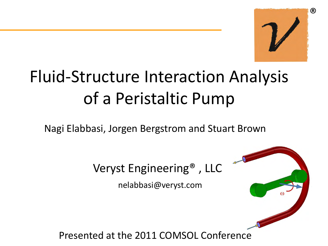

# Fluid-Structure Interaction Analysis of a Peristaltic Pump

Nagi Elabbasi, Jorgen Bergstrom and Stuart Brown



nelabbasi@veryst.com

Presented at the 2011 COMSOL Conference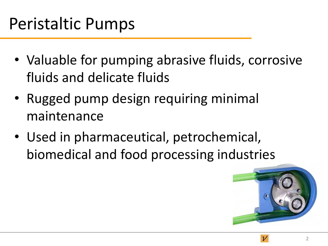### Peristaltic Pumps

- Valuable for pumping abrasive fluids, corrosive fluids and delicate fluids
- Rugged pump design requiring minimal maintenance
- Used in pharmaceutical, petrochemical, biomedical and food processing industries

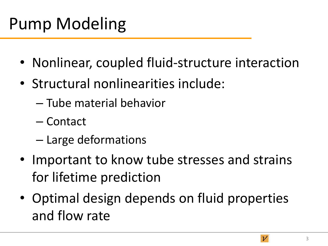# Pump Modeling

- Nonlinear, coupled fluid-structure interaction
- Structural nonlinearities include:
	- Tube material behavior
	- Contact
	- Large deformations
- Important to know tube stresses and strains for lifetime prediction
- Optimal design depends on fluid properties and flow rate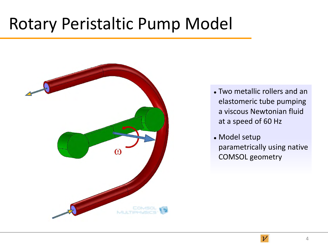#### Rotary Peristaltic Pump Model



- Two metallic rollers and an elastomeric tube pumping a viscous Newtonian fluid at a speed of 60 Hz
- Model setup parametrically using native COMSOL geometry



 $\overline{\nu}$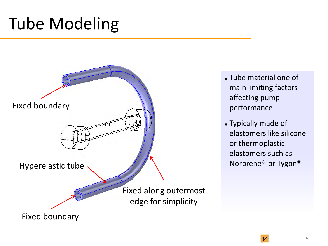### Tube Modeling



- Tube material one of main limiting factors affecting pump performance
- Typically made of elastomers like silicone or thermoplastic elastomers such as Norprene® or Tygon®

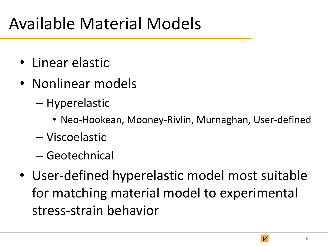### Available Material Models

- Linear elastic
- Nonlinear models
	- Hyperelastic
		- Neo-Hookean, Mooney-Rivlin, Murnaghan, User-defined
	- Viscoelastic
	- Geotechnical
- User-defined hyperelastic model most suitable for matching material model to experimental stress-strain behavior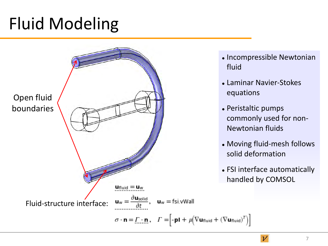# Fluid Modeling



- Incompressible Newtonian fluid
- Laminar Navier-Stokes equations
- Peristaltic pumps commonly used for non-Newtonian fluids
- Moving fluid-mesh follows solid deformation
- FSI interface automatically handled by COMSOL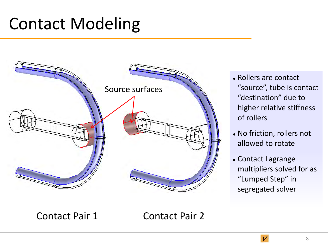### Contact Modeling



- Rollers are contact "source", tube is contact "destination" due to higher relative stiffness of rollers
- No friction, rollers not allowed to rotate
- Contact Lagrange multipliers solved for as "Lumped Step" in segregated solver

Contact Pair 1 Contact Pair 2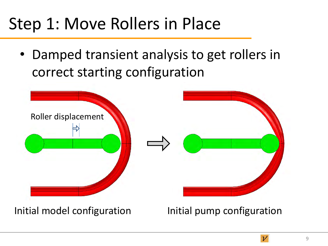# Step 1: Move Rollers in Place

• Damped transient analysis to get rollers in correct starting configuration



Initial model configuration **Initial pump configuration** 

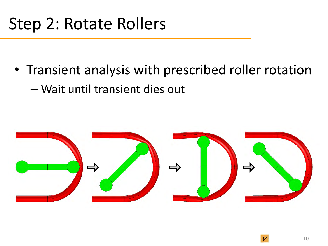### Step 2: Rotate Rollers

• Transient analysis with prescribed roller rotation – Wait until transient dies out

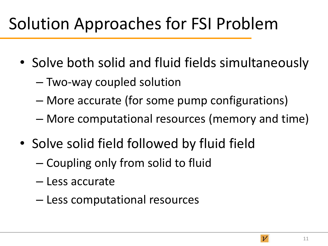# Solution Approaches for FSI Problem

- Solve both solid and fluid fields simultaneously
	- Two-way coupled solution
	- More accurate (for some pump configurations)
	- More computational resources (memory and time)
- Solve solid field followed by fluid field
	- Coupling only from solid to fluid
	- Less accurate
	- Less computational resources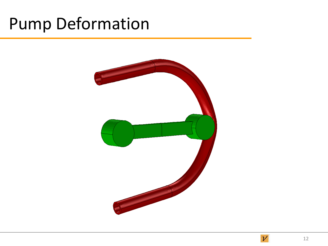#### Pump Deformation

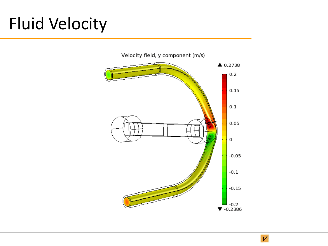# Fluid Velocity



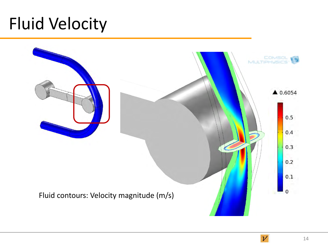### Fluid Velocity



 $\nu$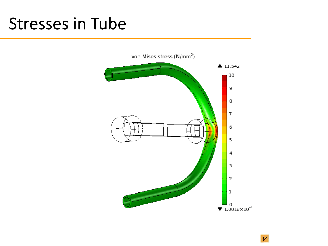#### Stresses in Tube



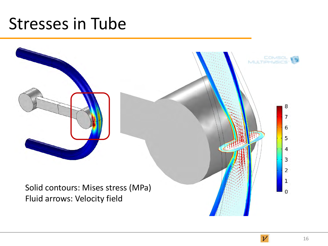#### Stresses in Tube



 $\overline{\nu}$